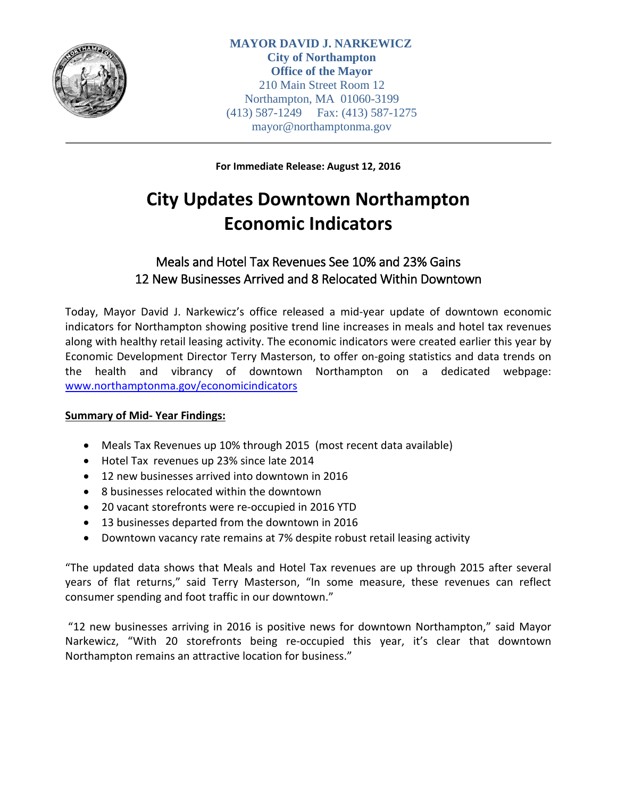

**For Immediate Release: August 12, 2016**

# **City Updates Downtown Northampton Economic Indicators**

## Meals and Hotel Tax Revenues See 10% and 23% Gains 12 New Businesses Arrived and 8 Relocated Within Downtown

Today, Mayor David J. Narkewicz's office released a mid-year update of downtown economic indicators for Northampton showing positive trend line increases in meals and hotel tax revenues along with healthy retail leasing activity. The economic indicators were created earlier this year by Economic Development Director Terry Masterson, to offer on-going statistics and data trends on the health and vibrancy of downtown Northampton on a dedicated webpage: [www.northamptonma.gov/economicindicators](http://www.northamptonma.gov/985/Downtown-Northampton-Economic-Indicators)

## **Summary of Mid- Year Findings:**

- Meals Tax Revenues up 10% through 2015 (most recent data available)
- Hotel Tax revenues up 23% since late 2014
- 12 new businesses arrived into downtown in 2016
- 8 businesses relocated within the downtown
- 20 vacant storefronts were re-occupied in 2016 YTD
- 13 businesses departed from the downtown in 2016
- Downtown vacancy rate remains at 7% despite robust retail leasing activity

"The updated data shows that Meals and Hotel Tax revenues are up through 2015 after several years of flat returns," said Terry Masterson, "In some measure, these revenues can reflect consumer spending and foot traffic in our downtown."

"12 new businesses arriving in 2016 is positive news for downtown Northampton," said Mayor Narkewicz, "With 20 storefronts being re-occupied this year, it's clear that downtown Northampton remains an attractive location for business."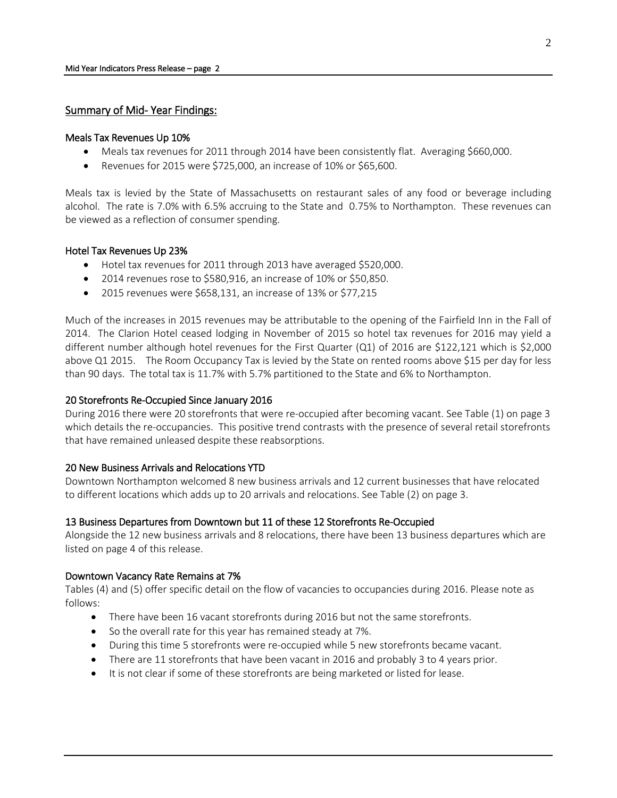## Summary of Mid- Year Findings:

#### Meals Tax Revenues Up 10%

- Meals tax revenues for 2011 through 2014 have been consistently flat. Averaging \$660,000.
- Revenues for 2015 were \$725,000, an increase of 10% or \$65,600.

Meals tax is levied by the State of Massachusetts on restaurant sales of any food or beverage including alcohol. The rate is 7.0% with 6.5% accruing to the State and 0.75% to Northampton. These revenues can be viewed as a reflection of consumer spending.

### Hotel Tax Revenues Up 23%

- Hotel tax revenues for 2011 through 2013 have averaged \$520,000.
- 2014 revenues rose to \$580,916, an increase of 10% or \$50,850.
- 2015 revenues were \$658,131, an increase of 13% or \$77,215

Much of the increases in 2015 revenues may be attributable to the opening of the Fairfield Inn in the Fall of 2014. The Clarion Hotel ceased lodging in November of 2015 so hotel tax revenues for 2016 may yield a different number although hotel revenues for the First Quarter (Q1) of 2016 are \$122,121 which is \$2,000 above Q1 2015. The Room Occupancy Tax is levied by the State on rented rooms above \$15 per day for less than 90 days. The total tax is 11.7% with 5.7% partitioned to the State and 6% to Northampton.

### 20 Storefronts Re-Occupied Since January 2016

During 2016 there were 20 storefronts that were re-occupied after becoming vacant. See Table (1) on page 3 which details the re-occupancies. This positive trend contrasts with the presence of several retail storefronts that have remained unleased despite these reabsorptions.

### 20 New Business Arrivals and Relocations YTD

Downtown Northampton welcomed 8 new business arrivals and 12 current businesses that have relocated to different locations which adds up to 20 arrivals and relocations. See Table (2) on page 3.

### 13 Business Departures from Downtown but 11 of these 12 Storefronts Re-Occupied

Alongside the 12 new business arrivals and 8 relocations, there have been 13 business departures which are listed on page 4 of this release.

### Downtown Vacancy Rate Remains at 7%

Tables (4) and (5) offer specific detail on the flow of vacancies to occupancies during 2016. Please note as follows:

- There have been 16 vacant storefronts during 2016 but not the same storefronts.
- So the overall rate for this year has remained steady at 7%.
- During this time 5 storefronts were re-occupied while 5 new storefronts became vacant.
- There are 11 storefronts that have been vacant in 2016 and probably 3 to 4 years prior.
- It is not clear if some of these storefronts are being marketed or listed for lease.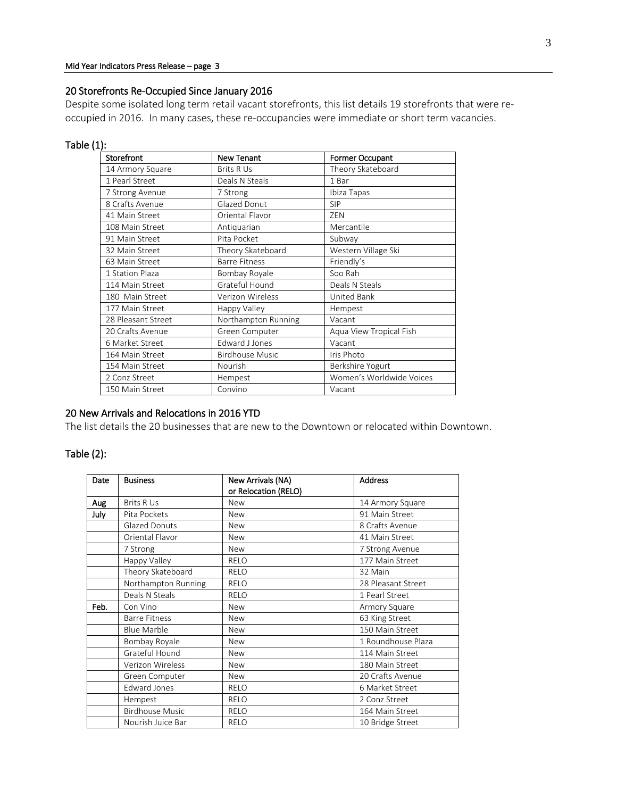## 20 Storefronts Re-Occupied Since January 2016

Despite some isolated long term retail vacant storefronts, this list details 19 storefronts that were reoccupied in 2016. In many cases, these re-occupancies were immediate or short term vacancies.

## Table (1):

| Storefront         | <b>New Tenant</b><br><b>Former Occupant</b> |                          |  |
|--------------------|---------------------------------------------|--------------------------|--|
| 14 Armory Square   | <b>Brits R Us</b>                           | Theory Skateboard        |  |
| 1 Pearl Street     | Deals N Steals                              | 1 Bar                    |  |
| 7 Strong Avenue    | 7 Strong                                    | Ibiza Tapas              |  |
| 8 Crafts Avenue    | Glazed Donut                                | <b>SIP</b>               |  |
| 41 Main Street     | Oriental Flavor                             | ZEN                      |  |
| 108 Main Street    | Antiquarian                                 | Mercantile               |  |
| 91 Main Street     | Pita Pocket                                 | Subway                   |  |
| 32 Main Street     | Theory Skateboard                           | Western Village Ski      |  |
| 63 Main Street     | <b>Barre Fitness</b>                        | Friendly's               |  |
| 1 Station Plaza    | Bombay Royale                               | Soo Rah                  |  |
| 114 Main Street    | Grateful Hound                              | Deals N Steals           |  |
| 180 Main Street    | Verizon Wireless                            | United Bank              |  |
| 177 Main Street    | Happy Valley                                | Hempest                  |  |
| 28 Pleasant Street | Northampton Running                         | Vacant                   |  |
| 20 Crafts Avenue   | Green Computer                              | Aqua View Tropical Fish  |  |
| 6 Market Street    | <b>Edward J Jones</b>                       | Vacant                   |  |
| 164 Main Street    | <b>Birdhouse Music</b>                      | Iris Photo               |  |
| 154 Main Street    | Nourish                                     | Berkshire Yogurt         |  |
| 2 Conz Street      | Hempest                                     | Women's Worldwide Voices |  |
| 150 Main Street    | Convino                                     | Vacant                   |  |

## 20 New Arrivals and Relocations in 2016 YTD

The list details the 20 businesses that are new to the Downtown or relocated within Downtown.

## Table (2):

| Date | <b>Business</b>        | New Arrivals (NA)    | <b>Address</b>     |
|------|------------------------|----------------------|--------------------|
|      |                        | or Relocation (RELO) |                    |
| Aug  | <b>Brits R Us</b>      | <b>New</b>           | 14 Armory Square   |
| July | Pita Pockets           | <b>New</b>           | 91 Main Street     |
|      | Glazed Donuts          | <b>New</b>           | 8 Crafts Avenue    |
|      | Oriental Flavor        | <b>New</b>           | 41 Main Street     |
|      | 7 Strong               | <b>New</b>           | 7 Strong Avenue    |
|      | Happy Valley           | <b>RELO</b>          | 177 Main Street    |
|      | Theory Skateboard      | <b>RELO</b>          | 32 Main            |
|      | Northampton Running    | <b>RELO</b>          | 28 Pleasant Street |
|      | Deals N Steals         | <b>RELO</b>          | 1 Pearl Street     |
| Feb. | Con Vino               | <b>New</b>           | Armory Square      |
|      | <b>Barre Fitness</b>   | <b>New</b>           | 63 King Street     |
|      | <b>Blue Marble</b>     | <b>New</b>           | 150 Main Street    |
|      | Bombay Royale          | <b>New</b>           | 1 Roundhouse Plaza |
|      | Grateful Hound         | <b>New</b>           | 114 Main Street    |
|      | Verizon Wireless       | <b>New</b>           | 180 Main Street    |
|      | Green Computer         | <b>New</b>           | 20 Crafts Avenue   |
|      | <b>Edward Jones</b>    | <b>RELO</b>          | 6 Market Street    |
|      | Hempest                | <b>RELO</b>          | 2 Conz Street      |
|      | <b>Birdhouse Music</b> | <b>RELO</b>          | 164 Main Street    |
|      | Nourish Juice Bar      | <b>RELO</b>          | 10 Bridge Street   |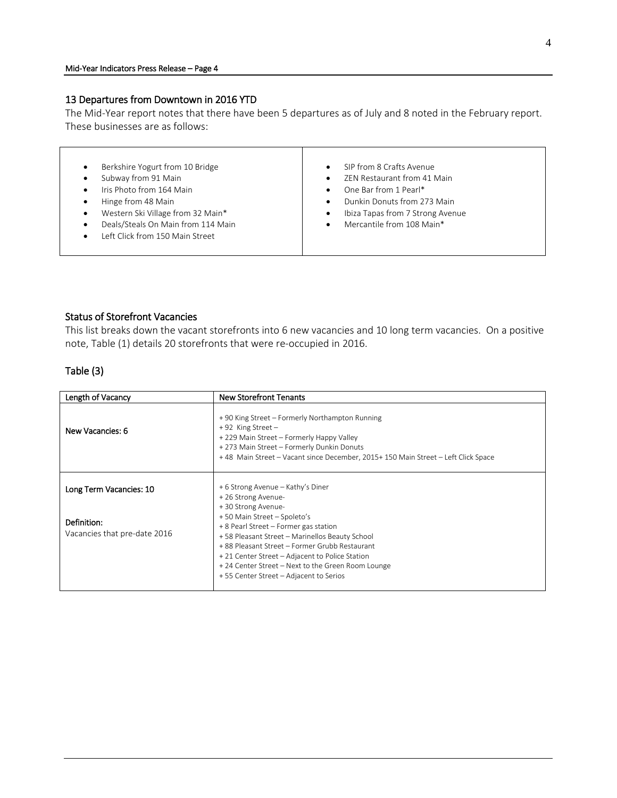## 13 Departures from Downtown in 2016 YTD

The Mid-Year report notes that there have been 5 departures as of July and 8 noted in the February report. These businesses are as follows:

| Berkshire Yogurt from 10 Bridge    | SIP from 8 Crafts Avenue<br>$\bullet$         |
|------------------------------------|-----------------------------------------------|
| Subway from 91 Main                | ZEN Restaurant from 41 Main<br>$\bullet$      |
| Iris Photo from 164 Main           | One Bar from 1 Pearl*<br>$\bullet$            |
| Hinge from 48 Main<br>٠            | Dunkin Donuts from 273 Main<br>$\bullet$      |
| Western Ski Village from 32 Main*  | Ibiza Tapas from 7 Strong Avenue<br>$\bullet$ |
| Deals/Steals On Main from 114 Main | Mercantile from 108 Main*<br>$\bullet$        |
| Left Click from 150 Main Street    |                                               |
|                                    |                                               |

## Status of Storefront Vacancies

This list breaks down the vacant storefronts into 6 new vacancies and 10 long term vacancies. On a positive note, Table (1) details 20 storefronts that were re-occupied in 2016.

## Table (3)

| Length of Vacancy                                                      | <b>New Storefront Tenants</b>                                                                                                                                                                                                                                                                                                                                                                               |
|------------------------------------------------------------------------|-------------------------------------------------------------------------------------------------------------------------------------------------------------------------------------------------------------------------------------------------------------------------------------------------------------------------------------------------------------------------------------------------------------|
| New Vacancies: 6                                                       | +90 King Street - Formerly Northampton Running<br>$+92$ King Street -<br>+ 229 Main Street – Formerly Happy Valley<br>+ 273 Main Street - Formerly Dunkin Donuts<br>+48 Main Street - Vacant since December, 2015+150 Main Street - Left Click Space                                                                                                                                                        |
| Long Term Vacancies: 10<br>Definition:<br>Vacancies that pre-date 2016 | + 6 Strong Avenue - Kathy's Diner<br>+26 Strong Avenue-<br>+30 Strong Avenue-<br>+50 Main Street - Spoleto's<br>+ 8 Pearl Street – Former gas station<br>+58 Pleasant Street - Marinellos Beauty School<br>+ 88 Pleasant Street - Former Grubb Restaurant<br>+ 21 Center Street – Adjacent to Police Station<br>+24 Center Street - Next to the Green Room Lounge<br>+55 Center Street - Adjacent to Serios |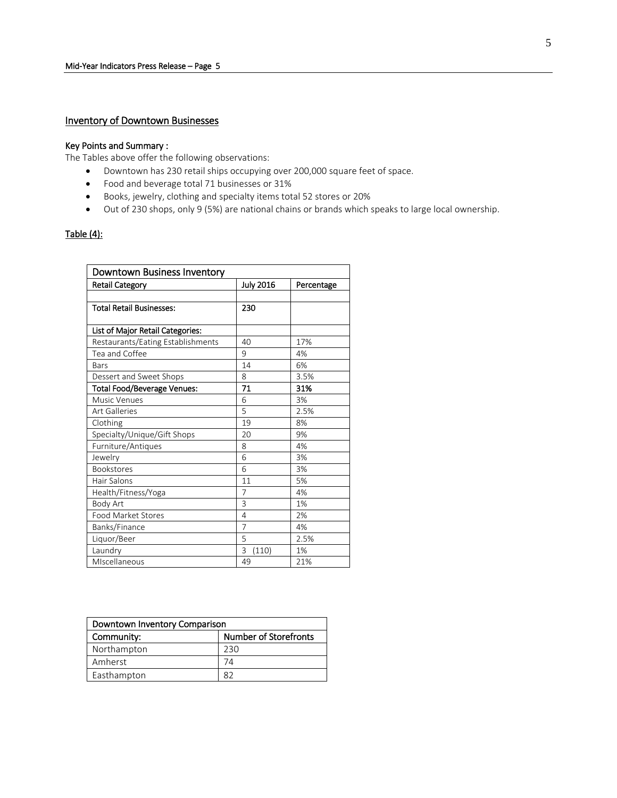## Inventory of Downtown Businesses

#### Key Points and Summary :

The Tables above offer the following observations:

- Downtown has 230 retail ships occupying over 200,000 square feet of space.
- Food and beverage total 71 businesses or 31%
- Books, jewelry, clothing and specialty items total 52 stores or 20%
- Out of 230 shops, only 9 (5%) are national chains or brands which speaks to large local ownership.

### Table  $(4)$ :

| Downtown Business Inventory        |                  |            |  |
|------------------------------------|------------------|------------|--|
| <b>Retail Category</b>             | <b>July 2016</b> | Percentage |  |
|                                    |                  |            |  |
| <b>Total Retail Businesses:</b>    | 230              |            |  |
|                                    |                  |            |  |
| List of Major Retail Categories:   |                  |            |  |
| Restaurants/Eating Establishments  | 40               | 17%        |  |
| Tea and Coffee                     | 9                | 4%         |  |
| Bars                               | 14               | 6%         |  |
| Dessert and Sweet Shops            | 8                | 3.5%       |  |
| <b>Total Food/Beverage Venues:</b> | 71               | 31%        |  |
| <b>Music Venues</b>                | 6                | 3%         |  |
| <b>Art Galleries</b>               | 5                | 2.5%       |  |
| Clothing                           | 19               | 8%         |  |
| Specialty/Unique/Gift Shops        | 20               | 9%         |  |
| Furniture/Antiques                 | 8                | 4%         |  |
| Jewelry                            | 6                | 3%         |  |
| <b>Bookstores</b>                  | 6                | 3%         |  |
| Hair Salons                        | 11               | 5%         |  |
| Health/Fitness/Yoga                | 7                | 4%         |  |
| <b>Body Art</b>                    | 3                | 1%         |  |
| Food Market Stores                 | 4                | 2%         |  |
| Banks/Finance                      | $\overline{7}$   | 4%         |  |
| Liquor/Beer                        | 5                | 2.5%       |  |
| Laundry                            | (110)<br>3       | 1%         |  |
| MIscellaneous                      | 49               | 21%        |  |

| Downtown Inventory Comparison |                              |  |
|-------------------------------|------------------------------|--|
| Community:                    | <b>Number of Storefronts</b> |  |
| Northampton                   | 230                          |  |
| Amherst                       | 74                           |  |
| Easthampton                   | R)                           |  |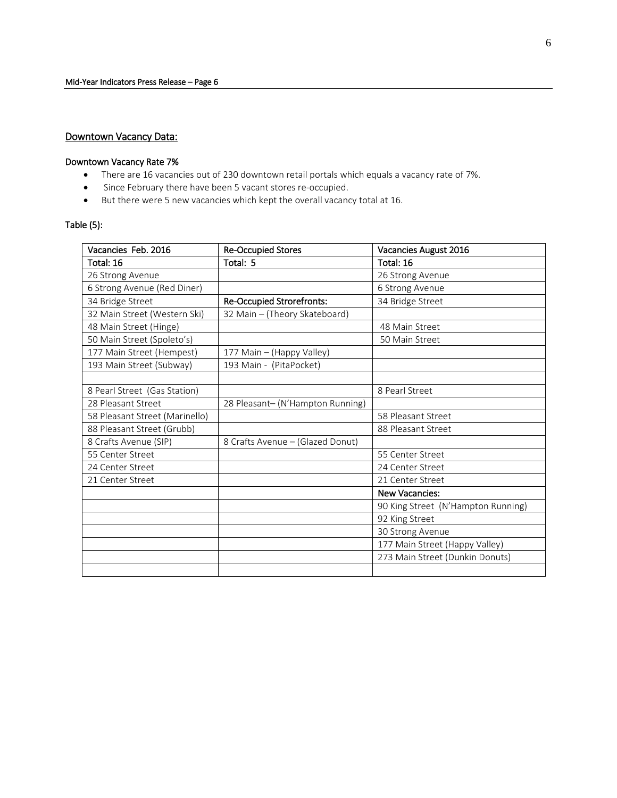## Downtown Vacancy Data:

#### Downtown Vacancy Rate 7%

- There are 16 vacancies out of 230 downtown retail portals which equals a vacancy rate of 7%.
- Since February there have been 5 vacant stores re-occupied.
- But there were 5 new vacancies which kept the overall vacancy total at 16.

## Table (5):

| Vacancies Feb. 2016            | <b>Re-Occupied Stores</b>        | Vacancies August 2016              |
|--------------------------------|----------------------------------|------------------------------------|
| Total: 16                      | Total: 5                         | Total: 16                          |
| 26 Strong Avenue               |                                  | 26 Strong Avenue                   |
| 6 Strong Avenue (Red Diner)    |                                  | 6 Strong Avenue                    |
| 34 Bridge Street               | <b>Re-Occupied Strorefronts:</b> | 34 Bridge Street                   |
| 32 Main Street (Western Ski)   | 32 Main - (Theory Skateboard)    |                                    |
| 48 Main Street (Hinge)         |                                  | 48 Main Street                     |
| 50 Main Street (Spoleto's)     |                                  | 50 Main Street                     |
| 177 Main Street (Hempest)      | 177 Main - (Happy Valley)        |                                    |
| 193 Main Street (Subway)       | 193 Main - (PitaPocket)          |                                    |
|                                |                                  |                                    |
| 8 Pearl Street (Gas Station)   |                                  | 8 Pearl Street                     |
| 28 Pleasant Street             | 28 Pleasant- (N'Hampton Running) |                                    |
| 58 Pleasant Street (Marinello) |                                  | 58 Pleasant Street                 |
| 88 Pleasant Street (Grubb)     |                                  | 88 Pleasant Street                 |
| 8 Crafts Avenue (SIP)          | 8 Crafts Avenue - (Glazed Donut) |                                    |
| 55 Center Street               |                                  | 55 Center Street                   |
| 24 Center Street               |                                  | 24 Center Street                   |
| 21 Center Street               |                                  | 21 Center Street                   |
|                                |                                  | <b>New Vacancies:</b>              |
|                                |                                  | 90 King Street (N'Hampton Running) |
|                                |                                  | 92 King Street                     |
|                                |                                  | 30 Strong Avenue                   |
|                                |                                  | 177 Main Street (Happy Valley)     |
|                                |                                  | 273 Main Street (Dunkin Donuts)    |
|                                |                                  |                                    |